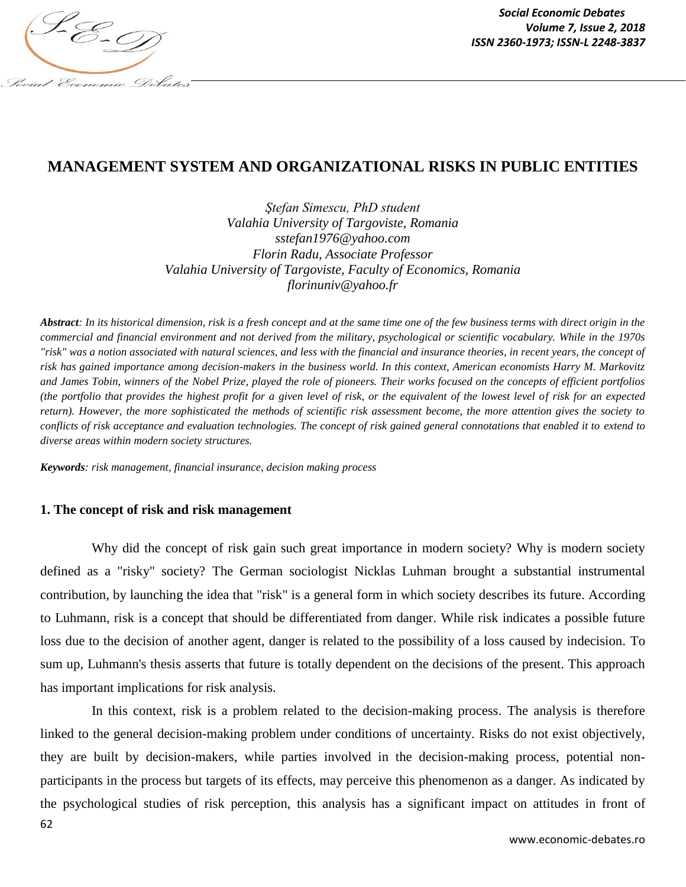

# **MANAGEMENT SYSTEM AND ORGANIZATIONAL RISKS IN PUBLIC ENTITIES**

*Ştefan Simescu, PhD student Valahia University of Targoviste, Romania sstefan1976@yahoo.com Florin Radu, Associate Professor Valahia University of Targoviste, Faculty of Economics, Romania florinuniv@yahoo.fr*

*Abstract: In its historical dimension, risk is a fresh concept and at the same time one of the few business terms with direct origin in the commercial and financial environment and not derived from the military, psychological or scientific vocabulary. While in the 1970s "risk" was a notion associated with natural sciences, and less with the financial and insurance theories, in recent years, the concept of risk has gained importance among decision-makers in the business world. In this context, American economists Harry M. Markovitz and James Tobin, winners of the Nobel Prize, played the role of pioneers. Their works focused on the concepts of efficient portfolios (the portfolio that provides the highest profit for a given level of risk, or the equivalent of the lowest level of risk for an expected return). However, the more sophisticated the methods of scientific risk assessment become, the more attention gives the society to conflicts of risk acceptance and evaluation technologies. The concept of risk gained general connotations that enabled it to extend to diverse areas within modern society structures.*

*Keywords: risk management, financial insurance, decision making process*

### **1. The concept of risk and risk management**

Why did the concept of risk gain such great importance in modern society? Why is modern society defined as a "risky" society? The German sociologist Nicklas Luhman brought a substantial instrumental contribution, by launching the idea that "risk" is a general form in which society describes its future. According to Luhmann, risk is a concept that should be differentiated from danger. While risk indicates a possible future loss due to the decision of another agent, danger is related to the possibility of a loss caused by indecision. To sum up, Luhmann's thesis asserts that future is totally dependent on the decisions of the present. This approach has important implications for risk analysis.

62 In this context, risk is a problem related to the decision-making process. The analysis is therefore linked to the general decision-making problem under conditions of uncertainty. Risks do not exist objectively, they are built by decision-makers, while parties involved in the decision-making process, potential nonparticipants in the process but targets of its effects, may perceive this phenomenon as a danger. As indicated by the psychological studies of risk perception, this analysis has a significant impact on attitudes in front of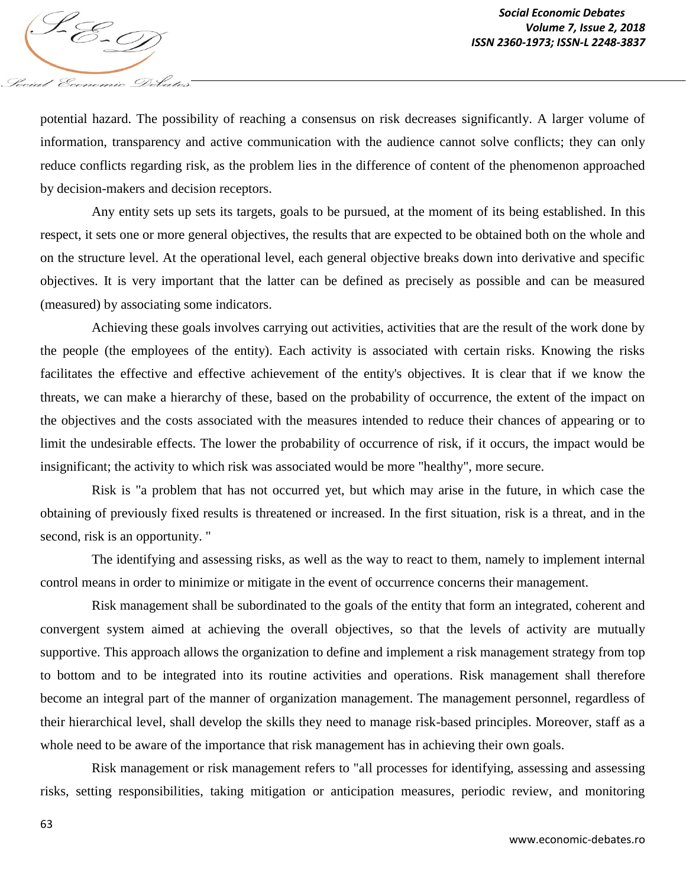potential hazard. The possibility of reaching a consensus on risk decreases significantly. A larger volume of information, transparency and active communication with the audience cannot solve conflicts; they can only reduce conflicts regarding risk, as the problem lies in the difference of content of the phenomenon approached by decision-makers and decision receptors.

Any entity sets up sets its targets, goals to be pursued, at the moment of its being established. In this respect, it sets one or more general objectives, the results that are expected to be obtained both on the whole and on the structure level. At the operational level, each general objective breaks down into derivative and specific objectives. It is very important that the latter can be defined as precisely as possible and can be measured (measured) by associating some indicators.

Achieving these goals involves carrying out activities, activities that are the result of the work done by the people (the employees of the entity). Each activity is associated with certain risks. Knowing the risks facilitates the effective and effective achievement of the entity's objectives. It is clear that if we know the threats, we can make a hierarchy of these, based on the probability of occurrence, the extent of the impact on the objectives and the costs associated with the measures intended to reduce their chances of appearing or to limit the undesirable effects. The lower the probability of occurrence of risk, if it occurs, the impact would be insignificant; the activity to which risk was associated would be more "healthy", more secure.

Risk is "a problem that has not occurred yet, but which may arise in the future, in which case the obtaining of previously fixed results is threatened or increased. In the first situation, risk is a threat, and in the second, risk is an opportunity. "

The identifying and assessing risks, as well as the way to react to them, namely to implement internal control means in order to minimize or mitigate in the event of occurrence concerns their management.

Risk management shall be subordinated to the goals of the entity that form an integrated, coherent and convergent system aimed at achieving the overall objectives, so that the levels of activity are mutually supportive. This approach allows the organization to define and implement a risk management strategy from top to bottom and to be integrated into its routine activities and operations. Risk management shall therefore become an integral part of the manner of organization management. The management personnel, regardless of their hierarchical level, shall develop the skills they need to manage risk-based principles. Moreover, staff as a whole need to be aware of the importance that risk management has in achieving their own goals.

Risk management or risk management refers to "all processes for identifying, assessing and assessing risks, setting responsibilities, taking mitigation or anticipation measures, periodic review, and monitoring

Social Economic Debates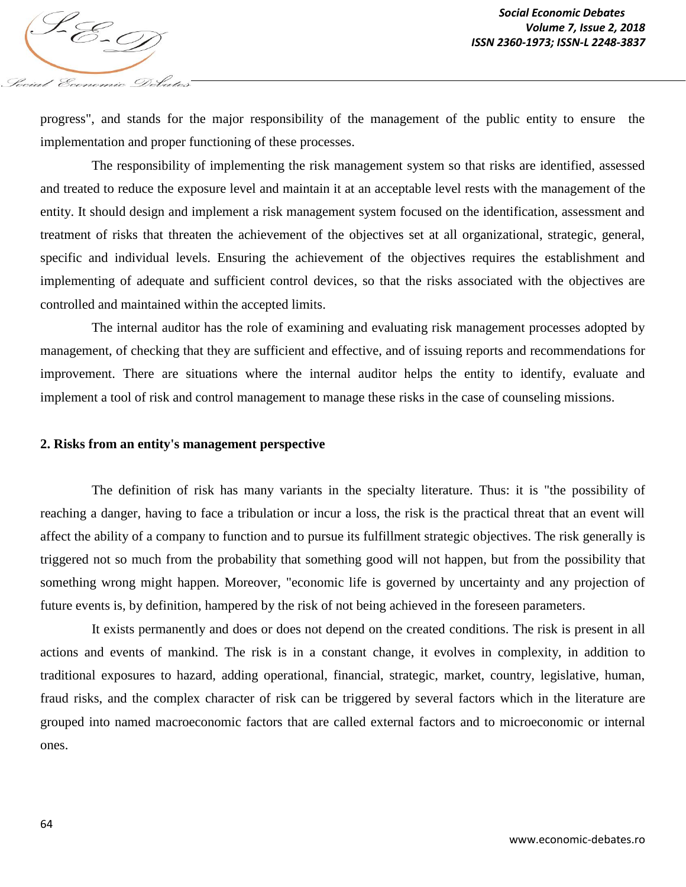progress", and stands for the major responsibility of the management of the public entity to ensure the implementation and proper functioning of these processes.

The responsibility of implementing the risk management system so that risks are identified, assessed and treated to reduce the exposure level and maintain it at an acceptable level rests with the management of the entity. It should design and implement a risk management system focused on the identification, assessment and treatment of risks that threaten the achievement of the objectives set at all organizational, strategic, general, specific and individual levels. Ensuring the achievement of the objectives requires the establishment and implementing of adequate and sufficient control devices, so that the risks associated with the objectives are controlled and maintained within the accepted limits.

The internal auditor has the role of examining and evaluating risk management processes adopted by management, of checking that they are sufficient and effective, and of issuing reports and recommendations for improvement. There are situations where the internal auditor helps the entity to identify, evaluate and implement a tool of risk and control management to manage these risks in the case of counseling missions.

#### **2. Risks from an entity's management perspective**

Social Economic Debates

The definition of risk has many variants in the specialty literature. Thus: it is "the possibility of reaching a danger, having to face a tribulation or incur a loss, the risk is the practical threat that an event will affect the ability of a company to function and to pursue its fulfillment strategic objectives. The risk generally is triggered not so much from the probability that something good will not happen, but from the possibility that something wrong might happen. Moreover, "economic life is governed by uncertainty and any projection of future events is, by definition, hampered by the risk of not being achieved in the foreseen parameters.

It exists permanently and does or does not depend on the created conditions. The risk is present in all actions and events of mankind. The risk is in a constant change, it evolves in complexity, in addition to traditional exposures to hazard, adding operational, financial, strategic, market, country, legislative, human, fraud risks, and the complex character of risk can be triggered by several factors which in the literature are grouped into named macroeconomic factors that are called external factors and to microeconomic or internal ones.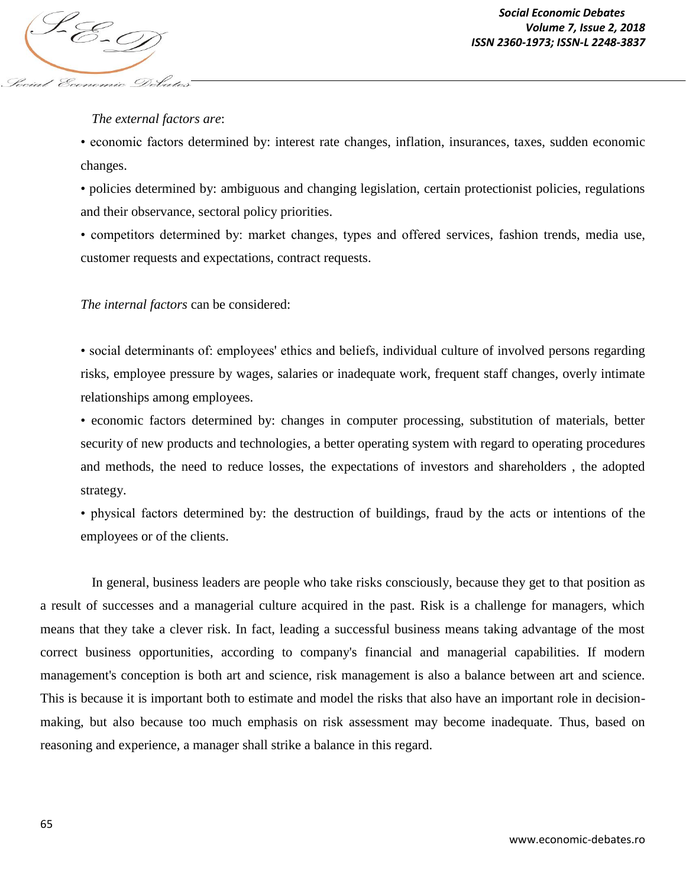### *The external factors are*:

Social Economic Debate

• economic factors determined by: interest rate changes, inflation, insurances, taxes, sudden economic changes.

• policies determined by: ambiguous and changing legislation, certain protectionist policies, regulations and their observance, sectoral policy priorities.

• competitors determined by: market changes, types and offered services, fashion trends, media use, customer requests and expectations, contract requests.

#### *The internal factors* can be considered:

• social determinants of: employees' ethics and beliefs, individual culture of involved persons regarding risks, employee pressure by wages, salaries or inadequate work, frequent staff changes, overly intimate relationships among employees.

• economic factors determined by: changes in computer processing, substitution of materials, better security of new products and technologies, a better operating system with regard to operating procedures and methods, the need to reduce losses, the expectations of investors and shareholders , the adopted strategy.

• physical factors determined by: the destruction of buildings, fraud by the acts or intentions of the employees or of the clients.

In general, business leaders are people who take risks consciously, because they get to that position as a result of successes and a managerial culture acquired in the past. Risk is a challenge for managers, which means that they take a clever risk. In fact, leading a successful business means taking advantage of the most correct business opportunities, according to company's financial and managerial capabilities. If modern management's conception is both art and science, risk management is also a balance between art and science. This is because it is important both to estimate and model the risks that also have an important role in decisionmaking, but also because too much emphasis on risk assessment may become inadequate. Thus, based on reasoning and experience, a manager shall strike a balance in this regard.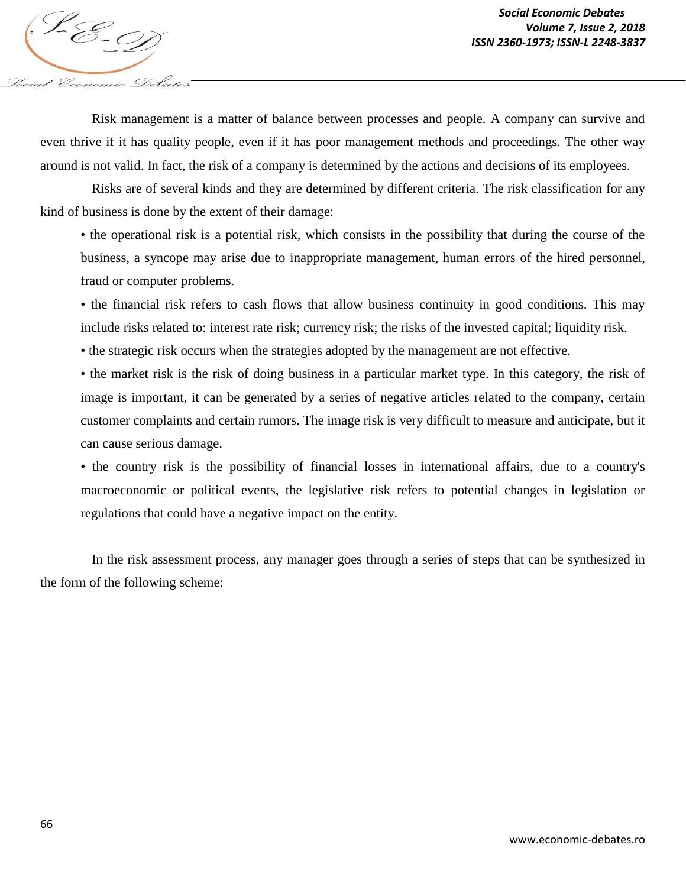Risk management is a matter of balance between processes and people. A company can survive and even thrive if it has quality people, even if it has poor management methods and proceedings. The other way around is not valid. In fact, the risk of a company is determined by the actions and decisions of its employees.

Risks are of several kinds and they are determined by different criteria. The risk classification for any kind of business is done by the extent of their damage:

• the operational risk is a potential risk, which consists in the possibility that during the course of the business, a syncope may arise due to inappropriate management, human errors of the hired personnel, fraud or computer problems.

• the financial risk refers to cash flows that allow business continuity in good conditions. This may include risks related to: interest rate risk; currency risk; the risks of the invested capital; liquidity risk.

• the strategic risk occurs when the strategies adopted by the management are not effective.

• the market risk is the risk of doing business in a particular market type. In this category, the risk of image is important, it can be generated by a series of negative articles related to the company, certain customer complaints and certain rumors. The image risk is very difficult to measure and anticipate, but it can cause serious damage.

• the country risk is the possibility of financial losses in international affairs, due to a country's macroeconomic or political events, the legislative risk refers to potential changes in legislation or regulations that could have a negative impact on the entity.

In the risk assessment process, any manager goes through a series of steps that can be synthesized in the form of the following scheme:

Iocial Economic Debate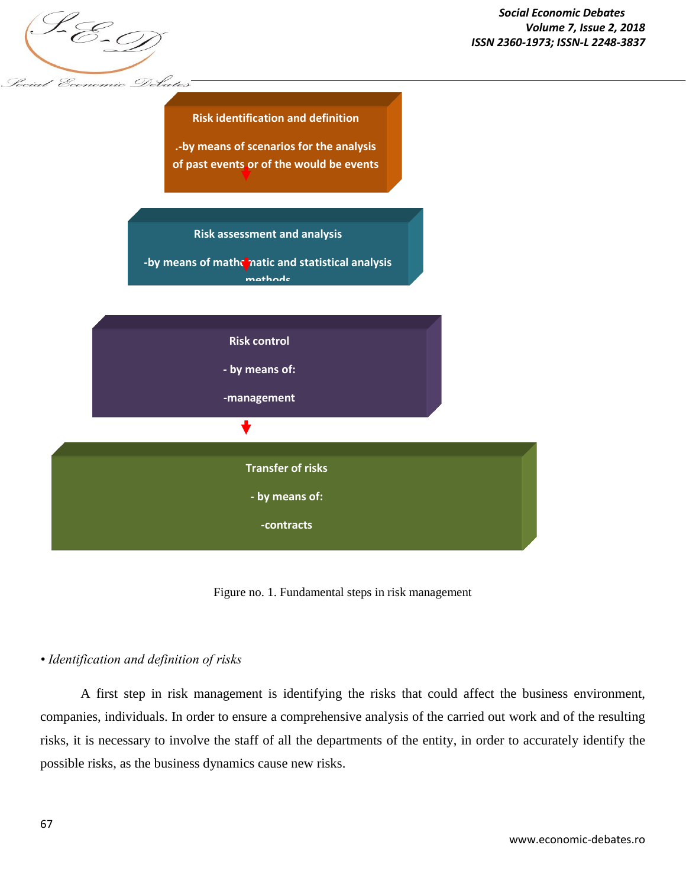



Figure no. 1. Fundamental steps in risk management

# *• Identification and definition of risks*

A first step in risk management is identifying the risks that could affect the business environment, companies, individuals. In order to ensure a comprehensive analysis of the carried out work and of the resulting risks, it is necessary to involve the staff of all the departments of the entity, in order to accurately identify the possible risks, as the business dynamics cause new risks.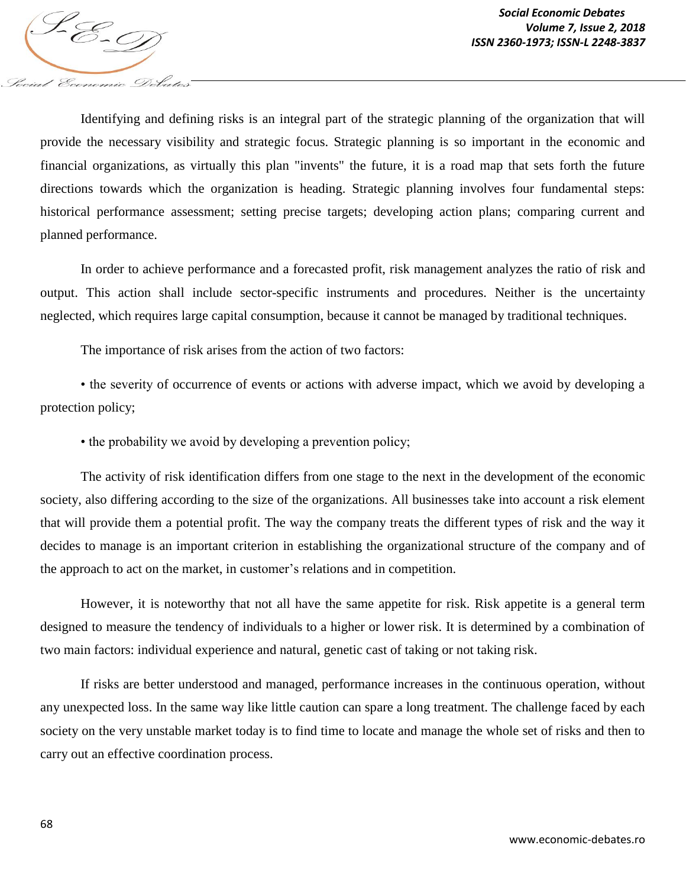Identifying and defining risks is an integral part of the strategic planning of the organization that will provide the necessary visibility and strategic focus. Strategic planning is so important in the economic and financial organizations, as virtually this plan "invents" the future, it is a road map that sets forth the future directions towards which the organization is heading. Strategic planning involves four fundamental steps: historical performance assessment; setting precise targets; developing action plans; comparing current and planned performance.

In order to achieve performance and a forecasted profit, risk management analyzes the ratio of risk and output. This action shall include sector-specific instruments and procedures. Neither is the uncertainty neglected, which requires large capital consumption, because it cannot be managed by traditional techniques.

The importance of risk arises from the action of two factors:

Social Economic Debates

• the severity of occurrence of events or actions with adverse impact, which we avoid by developing a protection policy;

• the probability we avoid by developing a prevention policy;

The activity of risk identification differs from one stage to the next in the development of the economic society, also differing according to the size of the organizations. All businesses take into account a risk element that will provide them a potential profit. The way the company treats the different types of risk and the way it decides to manage is an important criterion in establishing the organizational structure of the company and of the approach to act on the market, in customer's relations and in competition.

However, it is noteworthy that not all have the same appetite for risk. Risk appetite is a general term designed to measure the tendency of individuals to a higher or lower risk. It is determined by a combination of two main factors: individual experience and natural, genetic cast of taking or not taking risk.

If risks are better understood and managed, performance increases in the continuous operation, without any unexpected loss. In the same way like little caution can spare a long treatment. The challenge faced by each society on the very unstable market today is to find time to locate and manage the whole set of risks and then to carry out an effective coordination process.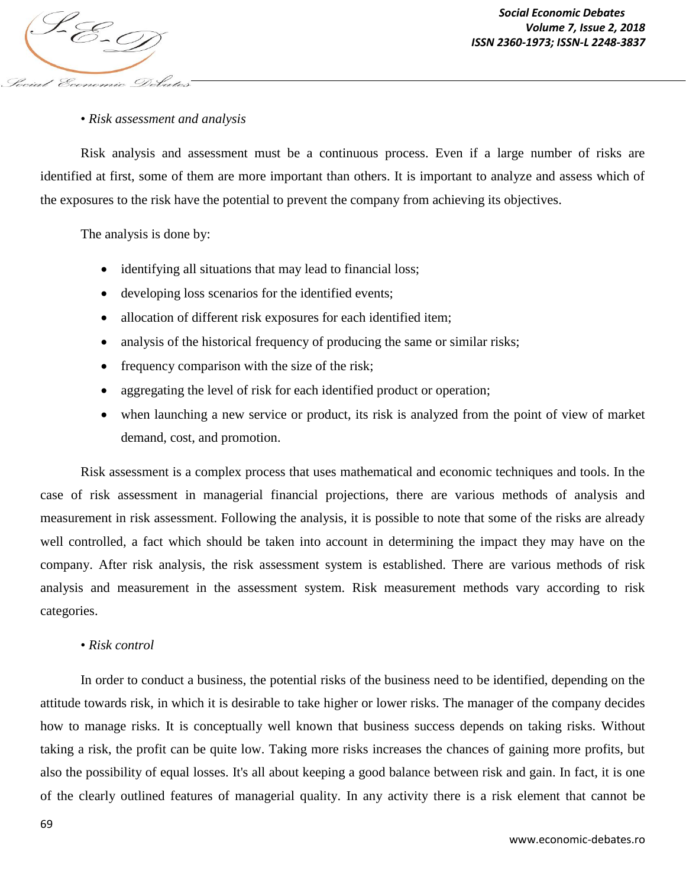

## • *Risk assessment and analysis*

Risk analysis and assessment must be a continuous process. Even if a large number of risks are identified at first, some of them are more important than others. It is important to analyze and assess which of the exposures to the risk have the potential to prevent the company from achieving its objectives.

The analysis is done by:

- identifying all situations that may lead to financial loss;
- developing loss scenarios for the identified events;
- allocation of different risk exposures for each identified item;
- analysis of the historical frequency of producing the same or similar risks;
- frequency comparison with the size of the risk;
- aggregating the level of risk for each identified product or operation;
- when launching a new service or product, its risk is analyzed from the point of view of market demand, cost, and promotion.

Risk assessment is a complex process that uses mathematical and economic techniques and tools. In the case of risk assessment in managerial financial projections, there are various methods of analysis and measurement in risk assessment. Following the analysis, it is possible to note that some of the risks are already well controlled, a fact which should be taken into account in determining the impact they may have on the company. After risk analysis, the risk assessment system is established. There are various methods of risk analysis and measurement in the assessment system. Risk measurement methods vary according to risk categories.

#### • *Risk control*

In order to conduct a business, the potential risks of the business need to be identified, depending on the attitude towards risk, in which it is desirable to take higher or lower risks. The manager of the company decides how to manage risks. It is conceptually well known that business success depends on taking risks. Without taking a risk, the profit can be quite low. Taking more risks increases the chances of gaining more profits, but also the possibility of equal losses. It's all about keeping a good balance between risk and gain. In fact, it is one of the clearly outlined features of managerial quality. In any activity there is a risk element that cannot be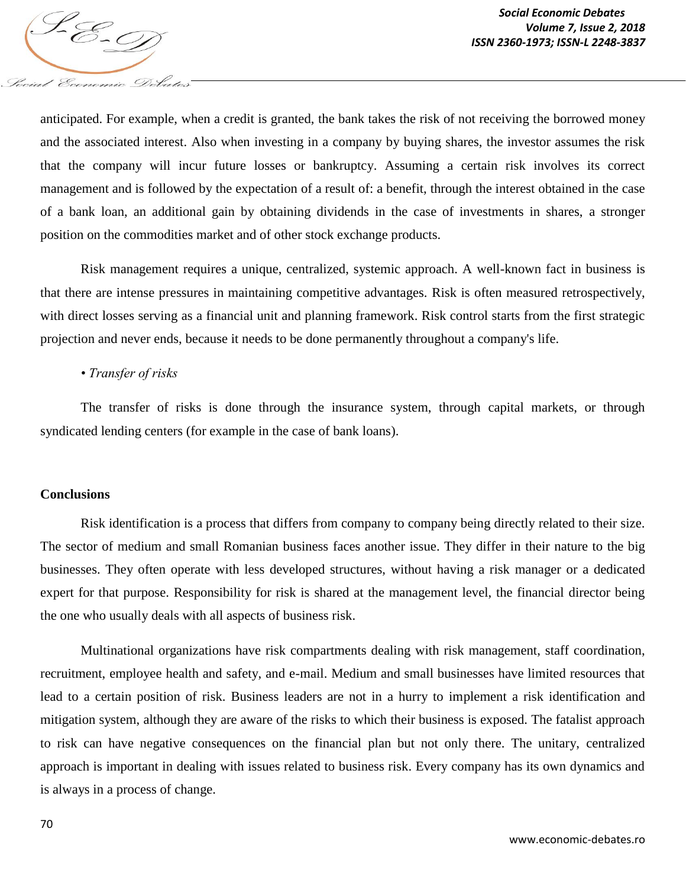anticipated. For example, when a credit is granted, the bank takes the risk of not receiving the borrowed money and the associated interest. Also when investing in a company by buying shares, the investor assumes the risk that the company will incur future losses or bankruptcy. Assuming a certain risk involves its correct management and is followed by the expectation of a result of: a benefit, through the interest obtained in the case of a bank loan, an additional gain by obtaining dividends in the case of investments in shares, a stronger position on the commodities market and of other stock exchange products.

Risk management requires a unique, centralized, systemic approach. A well-known fact in business is that there are intense pressures in maintaining competitive advantages. Risk is often measured retrospectively, with direct losses serving as a financial unit and planning framework. Risk control starts from the first strategic projection and never ends, because it needs to be done permanently throughout a company's life.

#### *• Transfer of risks*

Social Economic Debates

The transfer of risks is done through the insurance system, through capital markets, or through syndicated lending centers (for example in the case of bank loans).

#### **Conclusions**

Risk identification is a process that differs from company to company being directly related to their size. The sector of medium and small Romanian business faces another issue. They differ in their nature to the big businesses. They often operate with less developed structures, without having a risk manager or a dedicated expert for that purpose. Responsibility for risk is shared at the management level, the financial director being the one who usually deals with all aspects of business risk.

Multinational organizations have risk compartments dealing with risk management, staff coordination, recruitment, employee health and safety, and e-mail. Medium and small businesses have limited resources that lead to a certain position of risk. Business leaders are not in a hurry to implement a risk identification and mitigation system, although they are aware of the risks to which their business is exposed. The fatalist approach to risk can have negative consequences on the financial plan but not only there. The unitary, centralized approach is important in dealing with issues related to business risk. Every company has its own dynamics and is always in a process of change.